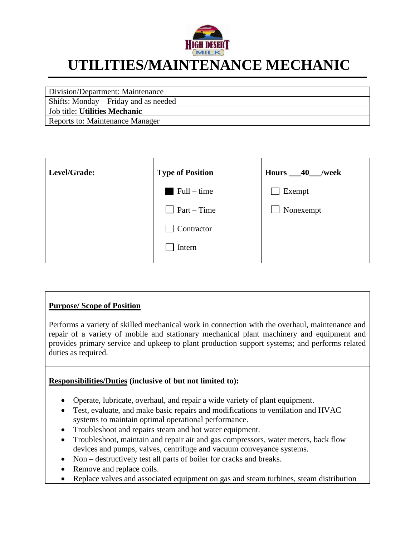

# **UTILITIES/MAINTENANCE MECHANIC**

Division/Department: Maintenance

Shifts: Monday – Friday and as needed

Job title: **Utilities Mechanic**

Reports to: Maintenance Manager

| Level/Grade: | <b>Type of Position</b> | Hours $-40$<br>/week |
|--------------|-------------------------|----------------------|
|              | $Full-time$             | Exempt               |
|              | $Part-Time$             | Nonexempt            |
|              | Contractor              |                      |
|              | Intern                  |                      |
|              |                         |                      |

# **Purpose/ Scope of Position**

Performs a variety of skilled mechanical work in connection with the overhaul, maintenance and repair of a variety of mobile and stationary mechanical plant machinery and equipment and provides primary service and upkeep to plant production support systems; and performs related duties as required.

# **Responsibilities/Duties (inclusive of but not limited to):**

- Operate, lubricate, overhaul, and repair a wide variety of plant equipment.
- Test, evaluate, and make basic repairs and modifications to ventilation and HVAC systems to maintain optimal operational performance.
- Troubleshoot and repairs steam and hot water equipment.
- Troubleshoot, maintain and repair air and gas compressors, water meters, back flow devices and pumps, valves, centrifuge and vacuum conveyance systems.
- Non destructively test all parts of boiler for cracks and breaks.
- Remove and replace coils.
- Replace valves and associated equipment on gas and steam turbines, steam distribution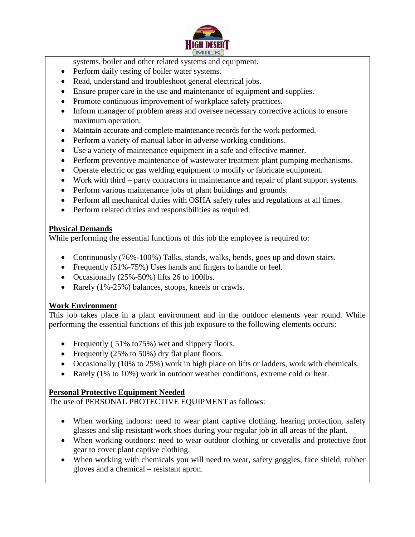

systems, boiler and other related systems and equipment.

- Perform daily testing of boiler water systems.
- Read, understand and troubleshoot general electrical jobs.
- Ensure proper care in the use and maintenance of equipment and supplies.
- Promote continuous improvement of workplace safety practices.
- Inform manager of problem areas and oversee necessary corrective actions to ensure maximum operation.
- Maintain accurate and complete maintenance records for the work performed.
- Perform a variety of manual labor in adverse working conditions.
- Use a variety of maintenance equipment in a safe and effective manner.
- Perform preventive maintenance of wastewater treatment plant pumping mechanisms.
- Operate electric or gas welding equipment to modify or fabricate equipment.
- Work with third party contractors in maintenance and repair of plant support systems.
- Perform various maintenance jobs of plant buildings and grounds.
- Perform all mechanical duties with OSHA safety rules and regulations at all times.
- Perform related duties and responsibilities as required.

# **Physical Demands**

While performing the essential functions of this job the employee is required to:

- Continuously (76%-100%) Talks, stands, walks, bends, goes up and down stairs.
- Frequently (51%-75%) Uses hands and fingers to handle or feel.
- Occasionally  $(25\% 50\%)$  lifts 26 to 100lbs.
- Rarely (1%-25%) balances, stoops, kneels or crawls.

# **Work Environment**

This job takes place in a plant environment and in the outdoor elements year round. While performing the essential functions of this job exposure to the following elements occurs:

- Frequently (51% to 75%) wet and slippery floors.
- Frequently (25% to 50%) dry flat plant floors.
- Occasionally (10% to 25%) work in high place on lifts or ladders, work with chemicals.
- Rarely (1% to 10%) work in outdoor weather conditions, extreme cold or heat.

# **Personal Protective Equipment Needed**

The use of PERSONAL PROTECTIVE EQUIPMENT as follows:

- When working indoors: need to wear plant captive clothing, hearing protection, safety glasses and slip resistant work shoes during your regular job in all areas of the plant.
- When working outdoors: need to wear outdoor clothing or coveralls and protective foot gear to cover plant captive clothing.
- When working with chemicals you will need to wear, safety goggles, face shield, rubber gloves and a chemical – resistant apron.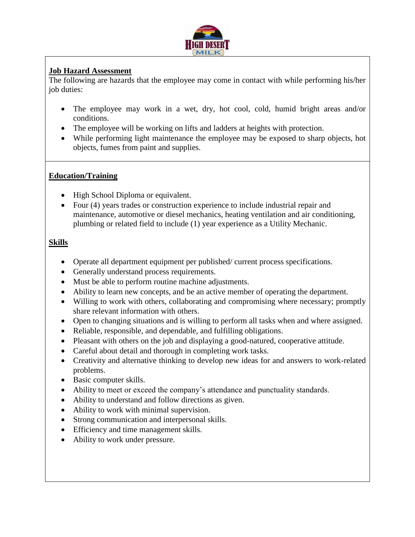

# **Job Hazard Assessment**

The following are hazards that the employee may come in contact with while performing his/her job duties:

- The employee may work in a wet, dry, hot cool, cold, humid bright areas and/or conditions.
- The employee will be working on lifts and ladders at heights with protection.
- While performing light maintenance the employee may be exposed to sharp objects, hot objects, fumes from paint and supplies.

# **Education/Training**

- High School Diploma or equivalent.
- Four (4) years trades or construction experience to include industrial repair and maintenance, automotive or diesel mechanics, heating ventilation and air conditioning, plumbing or related field to include (1) year experience as a Utility Mechanic.

# **Skills**

- Operate all department equipment per published/ current process specifications.
- Generally understand process requirements.
- Must be able to perform routine machine adjustments.
- Ability to learn new concepts, and be an active member of operating the department.
- Willing to work with others, collaborating and compromising where necessary; promptly share relevant information with others.
- Open to changing situations and is willing to perform all tasks when and where assigned.
- Reliable, responsible, and dependable, and fulfilling obligations.
- Pleasant with others on the job and displaying a good-natured, cooperative attitude.
- Careful about detail and thorough in completing work tasks.
- Creativity and alternative thinking to develop new ideas for and answers to work-related problems.
- Basic computer skills.
- Ability to meet or exceed the company's attendance and punctuality standards.
- Ability to understand and follow directions as given.
- Ability to work with minimal supervision.
- Strong communication and interpersonal skills.
- Efficiency and time management skills.
- Ability to work under pressure.